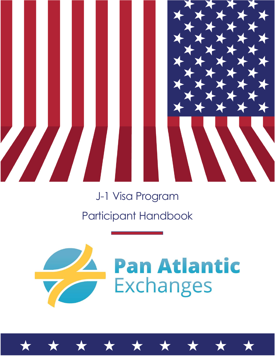

# J-1 Visa Program Participant Handbook



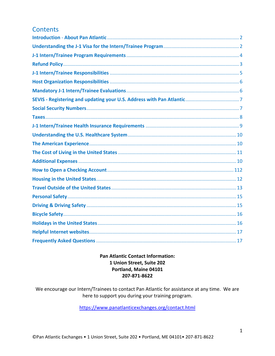# **Contents**

## **Pan Atlantic Contact Information:** 1 Union Street, Suite 202 Portland, Maine 04101 207-871-8622

We encourage our Intern/Trainees to contact Pan Atlantic for assistance at any time. We are here to support you during your training program.

https://www.panatlanticexchanges.org/contact.html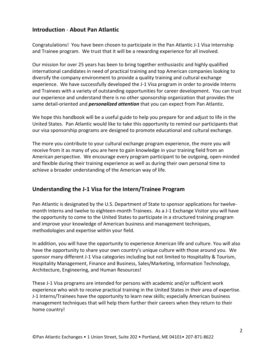# <span id="page-2-0"></span>**Introduction** - **About Pan Atlantic**

Congratulations! You have been chosen to participate in the Pan Atlantic J-1 Visa Internship and Trainee program. We trust that it will be a rewarding experience for all involved.

Our mission for over 25 years has been to bring together enthusiastic and highly qualified international candidates in need of practical training and top American companies looking to diversify the company environment to provide a quality training and cultural exchange experience. We have successfully developed the J-1 Visa program in order to provide Interns and Trainees with a variety of outstanding opportunities for career development. You can trust our experience and understand there is no other sponsorship organization that provides the same detail-oriented and *personalized attention* that you can expect from Pan Atlantic.

We hope this handbook will be a useful guide to help you prepare for and adjust to life in the United States. Pan Atlantic would like to take this opportunity to remind our participants that our visa sponsorship programs are designed to promote educational and cultural exchange.

The more you contribute to your cultural exchange program experience, the more you will receive from it as many of you are here to gain knowledge in your training field from an American perspective. We encourage every program participant to be outgoing, open-minded and flexible during their training experience as well as during their own personal time to achieve a broader understanding of the American way of life.

## <span id="page-2-1"></span>**Understanding the J-1 Visa for the Intern/Trainee Program**

Pan Atlantic is designated by the U.S. Department of State to sponsor applications for twelvemonth Interns and twelve to eighteen-month Trainees. As a J-1 Exchange Visitor you will have the opportunity to come to the United States to participate in a structured training program and improve your knowledge of American business and management techniques, methodologies and expertise within your field.

In addition, you will have the opportunity to experience American life and culture. You will also have the opportunity to share your own country's unique culture with those around you. We sponsor many different J-1 Visa categories including but not limited to Hospitality & Tourism, Hospitality Management, Finance and Business, Sales/Marketing, Information Technology, Architecture, Engineering, and Human Resources!

These J-1 Visa programs are intended for persons with academic and/or sufficient work experience who wish to receive practical training in the United States in their area of expertise. J-1 Interns/Trainees have the opportunity to learn new skills; especially American business management techniques that will help them further their careers when they return to their home country!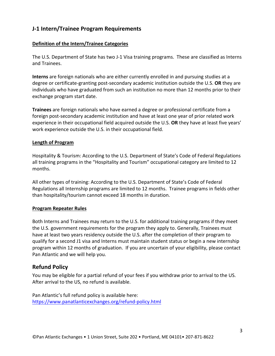# <span id="page-3-0"></span>**J-1 Intern/Trainee Program Requirements**

#### **Definition of the Intern/Trainee Categories**

The U.S. Department of State has two J-1 Visa training programs. These are classified as Interns and Trainees.

**Interns** are foreign nationals who are either currently enrolled in and pursuing studies at a degree or certificate-granting post-secondary academic institution outside the U.S. **OR** they are individuals who have graduated from such an institution no more than 12 months prior to their exchange program start date.

**Trainees** are foreign nationals who have earned a degree or professional certificate from a foreign post-secondary academic institution and have at least one year of prior related work experience in their occupational field acquired outside the U.S. **OR** they have at least five years' work experience outside the U.S. in their occupational field.

#### **Length of Program**

Hospitality & Tourism: According to the U.S. Department of State's Code of Federal Regulations all training programs in the "Hospitality and Tourism" occupational category are limited to 12 months.

All other types of training: According to the U.S. Department of State's Code of Federal Regulations all Internship programs are limited to 12 months. Trainee programs in fields other than hospitality/tourism cannot exceed 18 months in duration.

#### **Program Repeater Rules**

Both Interns and Trainees may return to the U.S. for additional training programs if they meet the U.S. government requirements for the program they apply to. Generally, Trainees must have at least two years residency outside the U.S. after the completion of their program to qualify for a second J1 visa and Interns must maintain student status or begin a new internship program within 12 months of graduation. If you are uncertain of your eligibility, please contact Pan Atlantic and we will help you.

#### <span id="page-3-1"></span>**Refund Policy**

You may be eligible for a partial refund of your fees if you withdraw prior to arrival to the US. After arrival to the US, no refund is available.

<span id="page-3-2"></span>Pan Atlantic's full refund policy is available here: <https://www.panatlanticexchanges.org/refund-policy.html>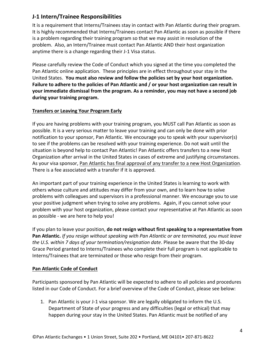# **J-1 Intern/Trainee Responsibilities**

It is a requirement that Interns/Trainees stay in contact with Pan Atlantic during their program. It is highly recommended that Interns/Trainees contact Pan Atlantic as soon as possible if there is a problem regarding their training program so that we may assist in resolution of the problem. Also, an Intern/Trainee must contact Pan Atlantic AND their host organization anytime there is a change regarding their J-1 Visa status.

Please carefully review the Code of Conduct which you signed at the time you completed the Pan Atlantic online application. These principles are in effect throughout your stay in the United States. **You must also review and follow the policies set by your host organization. Failure to adhere to the policies of Pan Atlantic and / or your host organization can result in your immediate dismissal from the program. As a reminder, you may not have a second job during your training program.**

#### **Transfers or Leaving Your Program Early**

If you are having problems with your training program, you MUST call Pan Atlantic as soon as possible. It is a very serious matter to leave your training and can only be done with prior notification to your sponsor, Pan Atlantic. We encourage you to speak with your supervisor(s) to see if the problems can be resolved with your training experience. Do not wait until the situation is beyond help to contact Pan Atlantic! Pan Atlantic offers transfers to a new Host Organization after arrival in the United States in cases of extreme and justifying circumstances. As your visa sponsor, Pan Atlantic has final approval of any transfer to a new Host Organization. There is a fee associated with a transfer if it is approved.

An important part of your training experience in the United States is learning to work with others whose culture and attitudes may differ from your own, and to learn how to solve problems with colleagues and supervisors in a professional manner. We encourage you to use your positive judgment when trying to solve any problems. Again, if you cannot solve your problem with your host organization, please contact your representative at Pan Atlantic as soon as possible - we are here to help you!

If you plan to leave your position, **do not resign without first speaking to a representative from Pan Atlantic.** *If you resign without speaking with Pan Atlantic or are terminated, you must leave the U.S. within 7 days of your termination/resignation date*. Please be aware that the 30-day Grace Period granted to Interns/Trainees who complete their full program is not applicable to Interns/Trainees that are terminated or those who resign from their program.

#### **Pan Atlantic Code of Conduct**

Participants sponsored by Pan Atlantic will be expected to adhere to all policies and procedures listed in our Code of Conduct. For a brief overview of the Code of Conduct, please see below:

1. Pan Atlantic is your J-1 visa sponsor. We are legally obligated to inform the U.S. Department of State of your progress and any difficulties (legal or ethical) that may happen during your stay in the United States. Pan Atlantic must be notified of any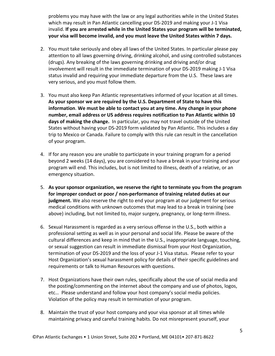problems you may have with the law or any legal authorities while in the United States which may result in Pan Atlantic cancelling your DS-2019 and making your J-1 Visa invalid. **If you are arrested while in the United States your program will be terminated, your visa will become invalid, and you must leave the United States within 7 days.** 

- 2. You must take seriously and obey all laws of the United States. In particular please pay attention to all laws governing driving, drinking alcohol, and using controlled substances (drugs). Any breaking of the laws governing drinking and driving and/or drug involvement will result in the immediate termination of your DS-2019 making J-1 Visa status invalid and requiring your immediate departure from the U.S. These laws are very serious, and you must follow them.
- 3. You must also keep Pan Atlantic representatives informed of your location at all times. **As your sponsor we are required by the U.S. Department of State to have this information**. **We must be able to contact you at any time. Any change in your phone number, email address or US address requires notification to Pan Atlantic within 10 days of making the change.** In particular, you may not travel outside of the United States without having your DS-2019 form validated by Pan Atlantic. This includes a day trip to Mexico or Canada. Failure to comply with this rule can result in the cancellation of your program.
- 4. If for any reason you are unable to participate in your training program for a period beyond 2 weeks (14 days), you are considered to have a break in your training and your program will end. This includes, but is not limited to illness, death of a relative, or an emergency situation.
- 5. **As your sponsor organization, we reserve the right to terminate you from the program for improper conduct or poor / non-performance of training related duties at our judgment.** We also reserve the right to end your program at our judgment for serious medical conditions with unknown outcomes that may lead to a break in training (see above) including, but not limited to, major surgery, pregnancy, or long-term illness.
- 6. Sexual Harassment is regarded as a very serious offense in the U.S., both within a professional setting as well as in your personal and social life. Please be aware of the cultural differences and keep in mind that in the U.S., inappropriate language, touching, or sexual suggestion can result in immediate dismissal from your Host Organization, termination of your DS-2019 and the loss of your J-1 Visa status. Please refer to your Host Organization's sexual harassment policy for details of their specific guidelines and requirements or talk to Human Resources with questions.
- 7. Host Organizations have their own rules, specifically about the use of social media and the posting/commenting on the internet about the company and use of photos, logos, etc… Please understand and follow your host company's social media policies. Violation of the policy may result in termination of your program.
- 8. Maintain the trust of your host company and your visa sponsor at all times while maintaining privacy and careful training habits. Do not misrepresent yourself, your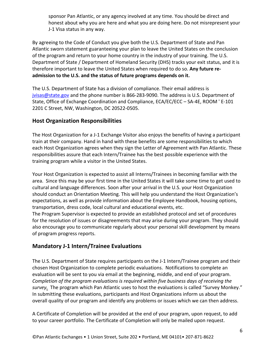sponsor Pan Atlantic, or any agency involved at any time. You should be direct and honest about why you are here and what you are doing here. Do not misrepresent your J-1 Visa status in any way.

By agreeing to the Code of Conduct you give both the U.S. Department of State and Pan Atlantic sworn statement guaranteeing your plan to leave the United States on the conclusion of the program and return to your home country in the industry of your training. The U.S. Department of State / Department of Homeland Security (DHS) tracks your exit status, and it is therefore important to leave the United States when required to do so. **Any future readmission to the U.S. and the status of future programs depends on it.**

The U.S. Department of State has a division of compliance. Their email address is [jvisas@state.gov](mailto:jvisas@state.gov) and the phone number is 866-283-9090. The address is U.S. Department of State, Office of Exchange Coordination and Compliance, ECA/EC/ECC – SA-4E, ROOM ' E-101 2201 C Street, NW, Washington, DC 20522-0505.

## <span id="page-6-0"></span>**Host Organization Responsibilities**

The Host Organization for a J-1 Exchange Visitor also enjoys the benefits of having a participant train at their company. Hand in hand with these benefits are some responsibilities to which each Host Organization agrees when they sign the Letter of Agreement with Pan Atlantic. These responsibilities assure that each Intern/Trainee has the best possible experience with the training program while a visitor in the United States.

Your Host Organization is expected to assist all Interns/Trainees in becoming familiar with the area. Since this may be your first time in the United States it will take some time to get used to cultural and language differences. Soon after your arrival in the U.S. your Host Organization should conduct an Orientation Meeting. This will help you understand the Host Organization's expectations, as well as provide information about the Employee Handbook, housing options, transportation, dress code, local cultural and educational events, etc.

The Program Supervisor is expected to provide an established protocol and set of procedures for the resolution of issues or disagreements that may arise during your program. They should also encourage you to communicate regularly about your personal skill development by means of program progress reports.

## <span id="page-6-1"></span>**Mandatory J-1 Intern/Trainee Evaluations**

The U.S. Department of State requires participants on the J-1 Intern/Trainee program and their chosen Host Organization to complete periodic evaluations. Notifications to complete an evaluation will be sent to you via email at the beginning, middle, and end of your program. *Completion of the program evaluations is required within five business days of receiving the survey.* The program which Pan Atlantic uses to host the evaluations is called "Survey Monkey." In submitting these evaluations, participants and Host Organizations inform us about the overall quality of our program and identify any problems or issues which we can then address.

A Certificate of Completion will be provided at the end of your program, upon request, to add to your career portfolio. The Certificate of Completion will only be mailed upon request.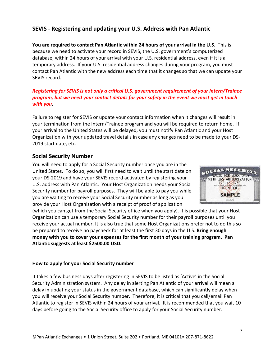# <span id="page-7-0"></span>**SEVIS - Registering and updating your U.S. Address with Pan Atlantic**

**You are required to contact Pan Atlantic within 24 hours of your arrival in the U.S**. This is because we need to activate your record in SEVIS, the U.S. government's computerized database, within 24 hours of your arrival with your U.S. residential address, even if it is a temporary address. If your U.S. residential address changes during your program, you must contact Pan Atlantic with the new address each time that it changes so that we can update your SEVIS record.

#### *Registering for SEVIS is not only a critical U.S. government requirement of your Intern/Trainee program, but we need your contact details for your safety in the event we must get in touch with you*.

Failure to register for SEVIS or update your contact information when it changes will result in your termination from the Intern/Trainee program and you will be required to return home. If your arrival to the United States will be delayed, you must notify Pan Atlantic and your Host Organization with your updated travel details in case any changes need to be made to your DS-2019 start date, etc.

#### <span id="page-7-1"></span>**Social Security Number**

You will need to apply for a Social Security number once you are in the United States. To do so, you will first need to wait until the start date on your DS-2019 and have your SEVIS record activated by registering your U.S. address with Pan Atlantic. Your Host Organization needs your Social Security number for payroll purposes. They will be able to pay you while you are waiting to receive your Social Security number as long as you provide your Host Organization with a receipt of proof of application



(which you can get from the Social Security office when you apply). It is possible that your Host Organization can use a temporary Social Security number for their payroll purposes until you receive your actual number. It is also true that some Host Organizations prefer not to do this so be prepared to receive no paycheck for at least the first 30 days in the U.S. **Bring enough money with you to cover your expenses for the first month of your training program. Pan Atlantic suggests at least \$2500.00 USD.**

#### **How to apply for your Social Security number**

It takes a few business days after registering in SEVIS to be listed as 'Active' in the Social Security Administration system. Any delay in alerting Pan Atlantic of your arrival will mean a delay in updating your status in the government database, which can significantly delay when you will receive your Social Security number. Therefore, it is critical that you call/email Pan Atlantic to register in SEVIS within 24 hours of your arrival. It is recommended that you wait 10 days before going to the Social Security office to apply for your Social Security number.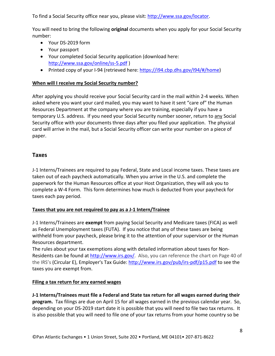To find a Social Security office near you, please visit: [http://www.ssa.gov/locator.](http://www.ssa.gov/locator)

You will need to bring the following **original** documents when you apply for your Social Security number:

- Your DS-2019 form
- Your passport
- Your completed Social Security application (download here: <http://www.ssa.gov/online/ss-5.pdf> )
- Printed copy of your I-94 (retrieved here: https://i94.cbp.dhs.gov/I94/#/home)

## **When will I receive my Social Security number?**

After applying you should receive your Social Security card in the mail within 2-4 weeks. When asked where you want your card mailed, you may want to have it sent "care of" the Human Resources Department at the company where you are training, especially if you have a temporary U.S. address. If you need your Social Security number sooner, return to any Social Security office with your documents three days after you filed your application. The physical card will arrive in the mail, but a Social Security officer can write your number on a piece of paper.

#### <span id="page-8-0"></span>**Taxes**

J-1 Interns/Trainees are required to pay Federal, State and Local income taxes. These taxes are taken out of each paycheck automatically. When you arrive in the U.S. and complete the paperwork for the Human Resources office at your Host Organization, they will ask you to complete a W-4 Form. This form determines how much is deducted from your paycheck for taxes each pay period.

## **Taxes that you are not required to pay as a J-1 Intern/Trainee**

J-1 Interns/Trainees are **exempt** from paying Social Security and Medicare taxes (FICA) as well as Federal Unemployment taxes (FUTA). If you notice that any of these taxes are being withheld from your paycheck, please bring it to the attention of your supervisor or the Human Resources department.

The rules about your tax exemptions along with detailed information about taxes for Non-Residents can be found at [http://www.irs.gov/.](http://www.irs.gov/) Also, you can reference the chart on Page 40 of the IRS's (Circular E), Employer's Tax Guide:<http://www.irs.gov/pub/irs-pdf/p15.pdf> to see the taxes you are exempt from.

#### **Filing a tax return for any earned wages**

**J-1 Interns/Trainees must file a Federal and State tax return for all wages earned during their program.** Tax filings are due on April 15 for all wages earned in the previous calendar year. So, depending on your DS-2019 start date it is possible that you will need to file two tax returns. It is also possible that you will need to file one of your tax returns from your home country so be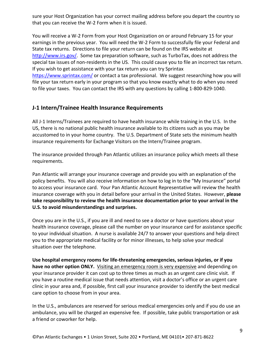sure your Host Organization has your correct mailing address before you depart the country so that you can receive the W-2 Form when it is issued.

You will receive a W-2 Form from your Host Organization on or around February 15 for your earnings in the previous year. You will need the W-2 Form to successfully file your Federal and State tax returns. Directions to file your return can be found on the IRS website at [http://www.irs.gov/.](http://www.irs.gov/) Some tax preparation software, such as TurboTax, does not address the special tax issues of non-residents in the US. This could cause you to file an incorrect tax return. If you wish to get assistance with your tax return you can try Sprintax <https://www.sprintax.com/> or contact a tax professional. We suggest researching how you will file your tax return early in your program so that you know exactly what to do when you need

to file your taxes. You can contact the IRS with any questions by calling 1-800-829-1040.

## <span id="page-9-0"></span>**J-1 Intern/Trainee Health Insurance Requirements**

All J-1 Interns/Trainees are required to have health insurance while training in the U.S. In the US, there is no national public health insurance available to its citizens such as you may be accustomed to in your home country. The U.S. Department of State sets the minimum health insurance requirements for Exchange Visitors on the Intern/Trainee program.

The insurance provided through Pan Atlantic utilizes an insurance policy which meets all these requirements.

Pan Atlantic will arrange your insurance coverage and provide you with an explanation of the policy benefits. You will also receive information on how to log in to the "My Insurance" portal to access your insurance card. Your Pan Atlantic Account Representative will review the health insurance coverage with you in detail before your arrival in the United States. However, **please take responsibility to review the health insurance documentation prior to your arrival in the U.S. to avoid misunderstandings and surprises.**

Once you are in the U.S., if you are ill and need to see a doctor or have questions about your health insurance coverage, please call the number on your insurance card for assistance specific to your individual situation. A nurse is available 24/7 to answer your questions and help direct you to the appropriate medical facility or for minor illnesses, to help solve your medical situation over the telephone.

**Use hospital emergency rooms for life-threatening emergencies, serious injuries, or if you have no other option ONLY.** Visiting an emergency room is very expensive and depending on your insurance provider it can cost up to three times as much as an urgent care clinic visit. If you have a routine medical issue that needs attention, visit a doctor's office or an urgent care clinic in your area and, if possible, first call your insurance provider to identify the best medical care option to choose from in your area.

In the U.S., ambulances are reserved for serious medical emergencies only and if you do use an ambulance, you will be charged an expensive fee. If possible, take public transportation or ask a friend or coworker for help.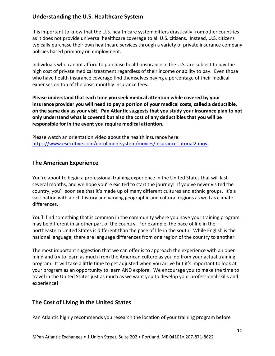# <span id="page-10-0"></span>**Understanding the U.S. Healthcare System**

It is important to know that the U.S. health care system differs drastically from other countries as it does not provide universal healthcare coverage to all U.S. citizens. Instead, U.S. citizens typically purchase their own healthcare services through a variety of private insurance company policies based primarily on employment.

Individuals who cannot afford to purchase health insurance in the U.S. are subject to pay the high cost of private medical treatment regardless of their income or ability to pay. Even those who have health insurance coverage find themselves paying a percentage of their medical expenses on top of the basic monthly insurance fees.

**Please understand that each time you seek medical attention while covered by your insurance provider you will need to pay a portion of your medical costs, called a deductible, on the same day as your visit. Pan Atlantic suggests that you study your insurance plan to not only understand what is covered but also the cost of any deductibles that you will be responsible for in the event you require medical attention.**

Please watch an orientation video about the health insurance here: <https://www.esecutive.com/enrollmentsystem/movies/InsuranceTutorial2.mov>

## <span id="page-10-1"></span>**The American Experience**

You're about to begin a professional training experience in the United States that will last several months, and we hope you're excited to start the journey! If you've never visited the country, you'll soon see that it's made up of many different cultures and ethnic groups. It's a vast nation with a rich history and varying geographic and cultural regions as well as climate differences.

You'll find something that is common in the community where you have your training program may be different in another part of the country. For example, the pace of life in the northeastern United States is different than the pace of life in the south. While English is the national language, there are language differences from one region of the country to another.

The most important suggestion that we can offer is to approach the experience with an open mind and try to learn as much from the American culture as you do from your actual training program. It will take a little time to get adjusted when you arrive but it's important to look at your program as an opportunity to learn AND explore. We encourage you to make the time to travel in the United States just as much as we want you to develop your professional skills and experience!

## <span id="page-10-2"></span>**The Cost of Living in the United States**

Pan Atlantic highly recommends you research the location of your training program before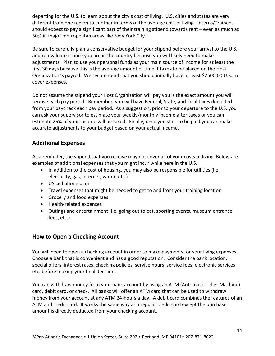departing for the U.S. to learn about the city's cost of living. U.S. cities and states are very different from one region to another in terms of the average cost of living. Interns/Trainees should expect to pay a significant part of their training stipend towards rent – even as much as 50% in major metropolitan areas like New York City.

Be sure to carefully plan a conservative budget for your stipend before your arrival to the U.S. and re-evaluate it once you are in the country because you will likely need to make adjustments. Plan to use your personal funds as your main source of income for at least the first 30 days because this is the average amount of time it takes to be placed on the Host Organization's payroll. We recommend that you should initially have at least \$2500.00 U.S. to cover expenses.

Do not assume the stipend your Host Organization will pay you is the exact amount you will receive each pay period. Remember, you will have Federal, State, and local taxes deducted from your paycheck each pay period. As a suggestion, prior to your departure to the U.S. you can ask your supervisor to estimate your weekly/monthly income after taxes or you can estimate 25% of your income will be taxed. Finally, once you start to be paid you can make accurate adjustments to your budget based on your actual income.

# **Additional Expenses**

As a reminder, the stipend that you receive may not cover all of your costs of living. Below are examples of additional expenses that you might incur while here in the U.S.

- In addition to the cost of housing, you may also be responsible for utilities (i.e. electricity, gas, internet, water, etc.).
- US cell phone plan
- Travel expenses that might be needed to get to and from your training location
- Grocery and food expenses
- Health-related expenses
- Outings and entertainment (i.e. going out to eat, sporting events, museum entrance fees, etc.)

# <span id="page-11-0"></span>**How to Open a Checking Account**

You will need to open a checking account in order to make payments for your living expenses. Choose a bank that is convenient and has a good reputation. Consider the bank location, special offers, interest rates, checking policies, service hours, service fees, electronic services, etc. before making your final decision.

You can withdraw money from your bank account by using an ATM (Automatic Teller Machine) card, debit card, or check. All banks will offer an ATM card that can be used to withdraw money from your account at any ATM 24-hours a day. A debit card combines the features of an ATM and credit card. It works the same way as a regular credit card except the purchase amount is directly deducted from your checking account.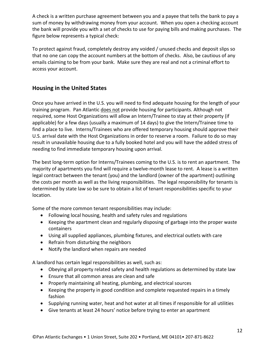A check is a written purchase agreement between you and a payee that tells the bank to pay a sum of money by withdrawing money from your account. When you open a checking account the bank will provide you with a set of checks to use for paying bills and making purchases. The figure below represents a typical check:

To protect against fraud, completely destroy any voided / unused checks and deposit slips so that no one can copy the account numbers at the bottom of checks. Also, be cautious of any emails claiming to be from your bank. Make sure they are real and not a criminal effort to access your account.

# <span id="page-12-0"></span>**Housing in the United States**

Once you have arrived in the U.S. you will need to find adequate housing for the length of your training program. Pan Atlantic does not provide housing for participants. Although not required, some Host Organizations will allow an Intern/Trainee to stay at their property (if applicable) for a few days (usually a maximum of 14 days) to give the Intern/Trainee time to find a place to live. Interns/Trainees who are offered temporary housing should approve their U.S. arrival date with the Host Organizations in order to reserve a room. Failure to do so may result in unavailable housing due to a fully booked hotel and you will have the added stress of needing to find immediate temporary housing upon arrival.

The best long-term option for Interns/Trainees coming to the U.S. is to rent an apartment. The majority of apartments you find will require a twelve-month lease to rent. A lease is a written legal contract between the tenant (you) and the landlord (owner of the apartment) outlining the costs per month as well as the living responsibilities. The legal responsibility for tenants is determined by state law so be sure to obtain a list of tenant responsibilities specific to your location.

Some of the more common tenant responsibilities may include:

- Following local housing, health and safety rules and regulations
- Keeping the apartment clean and regularly disposing of garbage into the proper waste containers
- Using all supplied appliances, plumbing fixtures, and electrical outlets with care
- Refrain from disturbing the neighbors
- Notify the landlord when repairs are needed

A landlord has certain legal responsibilities as well, such as:

- Obeying all property related safety and health regulations as determined by state law
- Ensure that all common areas are clean and safe
- Properly maintaining all heating, plumbing, and electrical sources
- Keeping the property in good condition and complete requested repairs in a timely fashion
- Supplying running water, heat and hot water at all times if responsible for all utilities
- Give tenants at least 24 hours' notice before trying to enter an apartment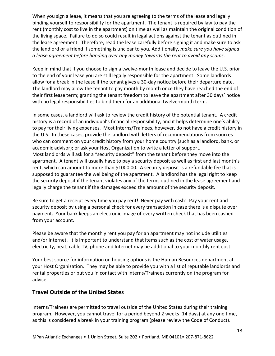When you sign a lease, it means that you are agreeing to the terms of the lease and legally binding yourself to responsibility for the apartment. The tenant is required by law to pay the rent (monthly cost to live in the apartment) on time as well as maintain the original condition of the living space. Failure to do so could result in legal actions against the tenant as outlined in the lease agreement. Therefore, read the lease carefully before signing it and make sure to ask the landlord or a friend if something is unclear to you. Additionally, *make sure you have signed a lease agreement before handing over any money towards the rent to avoid any scams.*

Keep in mind that if you choose to sign a twelve-month lease and decide to leave the U.S. prior to the end of your lease you are still legally responsible for the apartment. Some landlords allow for a break in the lease if the tenant gives a 30-day notice before their departure date. The landlord may allow the tenant to pay month by month once they have reached the end of their first lease term; granting the tenant freedom to leave the apartment after 30 days' notice with no legal responsibilities to bind them for an additional twelve-month term.

In some cases, a landlord will ask to review the credit history of the potential tenant. A credit history is a record of an individual's financial responsibility, and it helps determine one's ability to pay for their living expenses. Most Interns/Trainees, however, do not have a credit history in the U.S. In these cases, provide the landlord with letters of recommendations from sources who can comment on your credit history from your home country (such as a landlord, bank, or academic advisor); or ask your Host Organization to write a letter of support. Most landlords will ask for a "security deposit" from the tenant before they move into the apartment. A tenant will usually have to pay a security deposit as well as first and last month's rent, which can amount to more than \$1000.00. A security deposit is a refundable fee that is supposed to guarantee the wellbeing of the apartment. A landlord has the legal right to keep the security deposit if the tenant violates any of the terms outlined in the lease agreement and legally charge the tenant if the damages exceed the amount of the security deposit.

Be sure to get a receipt every time you pay rent! Never pay with cash! Pay your rent and security deposit by using a personal check for every transaction in case there is a dispute over payment. Your bank keeps an electronic image of every written check that has been cashed from your account.

Please be aware that the monthly rent you pay for an apartment may not include utilities and/or Internet. It is important to understand that items such as the cost of water usage, electricity, heat, cable TV, phone and Internet may be additional to your monthly rent cost.

Your best source for information on housing options is the Human Resources department at your Host Organization. They may be able to provide you with a list of reputable landlords and rental properties or put you in contact with Interns/Trainees currently on the program for advice.

## <span id="page-13-0"></span>**Travel Outside of the United States**

Interns/Trainees are permitted to travel outside of the United States during their training program. However, you cannot travel for a period beyond 2 weeks (14 days) at any one time, as this is considered a break in your training program (please review the Code of Conduct).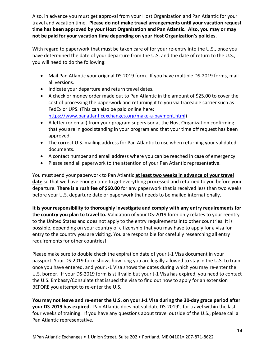Also, in advance you must get approval from your Host Organization and Pan Atlantic for your travel and vacation time. **Please do not make travel arrangements until your vacation request time has been approved by your Host Organization and Pan Atlantic. Also, you may or may not be paid for your vacation time depending on your Host Organization's policies.**

With regard to paperwork that must be taken care of for your re-entry into the U.S., once you have determined the date of your departure from the U.S. and the date of return to the U.S., you will need to do the following:

- Mail Pan Atlantic your original DS-2019 form. If you have multiple DS-2019 forms, mail all versions.
- Indicate your departure and return travel dates.
- A check or money order made out to Pan Atlantic in the amount of \$25.00 to cover the cost of processing the paperwork and returning it to you via traceable carrier such as FedEx or UPS. (This can also be paid online here: [https://www.panatlanticexchanges.org/make-a-payment.html\)](https://www.panatlanticexchanges.org/make-a-payment.html)
- A letter (or email) from your program supervisor at the Host Organization confirming that you are in good standing in your program and that your time off request has been approved.
- The correct U.S. mailing address for Pan Atlantic to use when returning your validated documents.
- A contact number and email address where you can be reached in case of emergency.
- Please send all paperwork to the attention of your Pan Atlantic representative.

You must send your paperwork to Pan Atlantic **at least two weeks in advance of your travel date** so that we have enough time to get everything processed and returned to you before your departure. **There is a rush fee of \$60.00** for any paperwork that is received less than two weeks before your U.S. departure date or paperwork that needs to be mailed internationally.

**It is your responsibility to thoroughly investigate and comply with any entry requirements for the country you plan to travel to.** Validation of your DS-2019 form only relates to your reentry to the United States and does not apply to the entry requirements into other countries. It is possible, depending on your country of citizenship that you may have to apply for a visa for entry to the country you are visiting. You are responsible for carefully researching all entry requirements for other countries!

Please make sure to double check the expiration date of your J-1 Visa document in your passport. Your DS-2019 form shows how long you are legally allowed to stay in the U.S. to train once you have entered, and your J-1 Visa shows the dates during which you may re-enter the U.S. border. If your DS-2019 form is still valid but your J-1 Visa has expired, you need to contact the U.S. Embassy/Consulate that issued the visa to find out how to apply for an extension BEFORE you attempt to re-enter the U.S.

**You may not leave and re-enter the U.S. on your J-1 Visa during the 30-day grace period after your DS-2019 has expired.** Pan Atlantic does not validate DS-2019's for travel within the last four weeks of training. If you have any questions about travel outside of the U.S., please call a Pan Atlantic representative.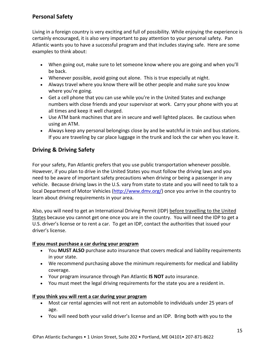# <span id="page-15-0"></span>**Personal Safety**

Living in a foreign country is very exciting and full of possibility. While enjoying the experience is certainly encouraged, it is also very important to pay attention to your personal safety. Pan Atlantic wants you to have a successful program and that includes staying safe. Here are some examples to think about:

- When going out, make sure to let someone know where you are going and when you'll be back.
- Whenever possible, avoid going out alone. This is true especially at night.
- Always travel where you know there will be other people and make sure you know where you're going.
- Get a cell phone that you can use while you're in the United States and exchange numbers with close friends and your supervisor at work. Carry your phone with you at all times and keep it well charged.
- Use ATM bank machines that are in secure and well lighted places. Be cautious when using an ATM.
- Always keep any personal belongings close by and be watchful in train and bus stations. If you are traveling by car place luggage in the trunk and lock the car when you leave it.

# <span id="page-15-1"></span>**Driving & Driving Safety**

For your safety, Pan Atlantic prefers that you use public transportation whenever possible. However, if you plan to drive in the United States you must follow the driving laws and you need to be aware of important safety precautions when driving or being a passenger in any vehicle. Because driving laws in the U.S. vary from state to state and you will need to talk to a local Department of Motor Vehicles [\(http://www.dmv.org/\)](http://www.dmv.org/) once you arrive in the country to learn about driving requirements in your area.

Also, you will need to get an International Driving Permit (IDP) before travelling to the United States because you cannot get one once you are in the country. You will need the IDP to get a U.S. driver's license or to rent a car. To get an IDP, contact the authorities that issued your driver's license.

## **If you must purchase a car during your program**

- You **MUST ALSO** purchase auto insurance that covers medical and liability requirements in your state.
- We recommend purchasing above the minimum requirements for medical and liability coverage.
- Your program insurance through Pan Atlantic **IS NOT** auto insurance.
- You must meet the legal driving requirements for the state you are a resident in.

#### **If you think you will rent a car during your program**

- Most car rental agencies will not rent an automobile to individuals under 25 years of age.
- You will need both your valid driver's license and an IDP. Bring both with you to the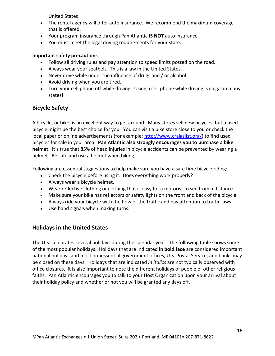United States!

- The rental agency will offer auto insurance. We recommend the maximum coverage that is offered.
- Your program insurance through Pan Atlantic **IS NOT** auto insurance.
- You must meet the legal driving requirements for your state.

#### **Important safety precautions**

- Follow all driving rules and pay attention to speed limits posted on the road.
- Always wear your seatbelt. This is a law in the United States.
- Never drive while under the influence of drugs and / or alcohol.
- Avoid driving when you are tired.
- Turn your cell phone off while driving. Using a cell phone while driving is illegal in many states!

# <span id="page-16-0"></span>**Bicycle Safety**

A bicycle, or bike, is an excellent way to get around. Many stores sell new bicycles, but a used bicycle might be the best choice for you. You can visit a bike store close to you or check the local paper or online advertisements (for example: [http://www.craigslist.org/\)](http://www.craigslist.org/) to find used bicycles for sale in your area. **Pan Atlantic also strongly encourages you to purchase a bike helmet**. It's true that 85% of head injuries in bicycle accidents can be prevented by wearing a helmet. Be safe and use a helmet when biking!

Following are essential suggestions to help make sure you have a safe time bicycle riding:

- Check the bicycle before using it. Does everything work properly?
- Always wear a bicycle helmet.
- Wear reflective clothing or clothing that is easy for a motorist to see from a distance.
- Make sure your bike has reflectors or safety lights on the front and back of the bicycle.
- Always ride your bicycle with the flow of the traffic and pay attention to traffic laws.
- Use hand signals when making turns.

# <span id="page-16-1"></span>**Holidays in the United States**

The U.S. celebrates several holidays during the calendar year. The following table shows some of the most popular holidays. Holidays that are indicated **in bold face** are considered important national holidays and most nonessential government offices, U.S. Postal Service, and banks may be closed on these days. Holidays that are indicated *in italics* are not typically observed with office closures. It is also important to note the different holidays of people of other religious faiths. Pan Atlantic encourages you to talk to your Host Organization upon your arrival about their holiday policy and whether or not you will be granted any days off.